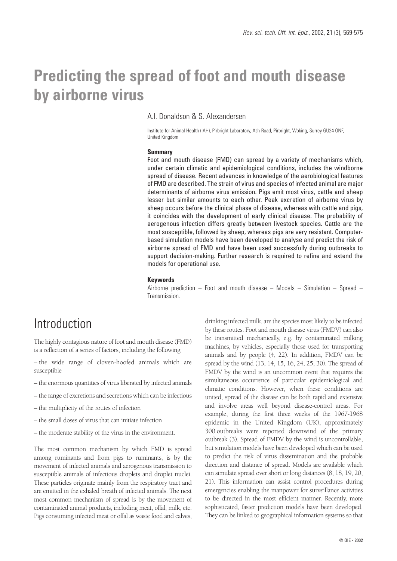# **Predicting the spread of foot and mouth disease by airborne virus**

### A.I. Donaldson & S. Alexandersen

Institute for Animal Health (IAH), Pirbright Laboratory, Ash Road, Pirbright, Woking, Surrey GU24 ONF, United Kingdom

### **Summary**

Foot and mouth disease (FMD) can spread by a variety of mechanisms which, under certain climatic and epidemiological conditions, includes the windborne spread of disease. Recent advances in knowledge of the aerobiological features of FMD are described. The strain of virus and species of infected animal are major determinants of airborne virus emission. Pigs emit most virus, cattle and sheep lesser but similar amounts to each other. Peak excretion of airborne virus by sheep occurs before the clinical phase of disease, whereas with cattle and pigs, it coincides with the development of early clinical disease. The probability of aerogenous infection differs greatly between livestock species. Cattle are the most susceptible, followed by sheep, whereas pigs are very resistant. Computerbased simulation models have been developed to analyse and predict the risk of airborne spread of FMD and have been used successfully during outbreaks to support decision-making. Further research is required to refine and extend the models for operational use.

#### **Keywords**

Airborne prediction – Foot and mouth disease – Models – Simulation – Spread – Transmission.

# Introduction

The highly contagious nature of foot and mouth disease (FMD) is a reflection of a series of factors, including the following:

– the wide range of cloven-hoofed animals which are susceptible

- the enormous quantities of virus liberated by infected animals
- the range of excretions and secretions which can be infectious
- the multiplicity of the routes of infection
- the small doses of virus that can initiate infection
- the moderate stability of the virus in the environment.

The most common mechanism by which FMD is spread among ruminants and from pigs to ruminants, is by the movement of infected animals and aerogenous transmission to susceptible animals of infectious droplets and droplet nuclei. These particles originate mainly from the respiratory tract and are emitted in the exhaled breath of infected animals. The next most common mechanism of spread is by the movement of contaminated animal products, including meat, offal, milk, etc. Pigs consuming infected meat or offal as waste food and calves, drinking infected milk, are the species most likely to be infected by these routes. Foot and mouth disease virus (FMDV) can also be transmitted mechanically, e.g. by contaminated milking machines, by vehicles, especially those used for transporting animals and by people (4, 22). In addition, FMDV can be spread by the wind (13, 14, 15, 16, 24, 25, 30). The spread of FMDV by the wind is an uncommon event that requires the simultaneous occurrence of particular epidemiological and climatic conditions. However, when these conditions are united, spread of the disease can be both rapid and extensive and involve areas well beyond disease-control areas. For example, during the first three weeks of the 1967-1968 epidemic in the United Kingdom (UK), approximately 300 outbreaks were reported downwind of the primary outbreak (3). Spread of FMDV by the wind is uncontrollable, but simulation models have been developed which can be used to predict the risk of virus dissemination and the probable direction and distance of spread. Models are available which can simulate spread over short or long distances (8, 18, 19, 20, 21). This information can assist control procedures during emergencies enabling the manpower for surveillance activities to be directed in the most efficient manner. Recently, more sophisticated, faster prediction models have been developed. They can be linked to geographical information systems so that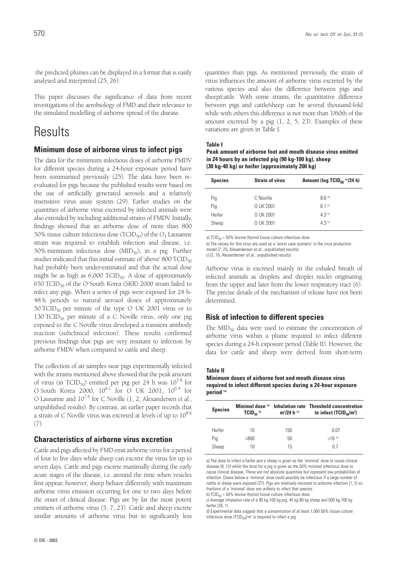the predicted plumes can be displayed in a format that is easily analysed and interpreted (25, 26).

This paper discusses the significance of data from recent investigations of the aerobiology of FMD and their relevance to the simulated modelling of airborne spread of the disease.

## **Results**

### **Minimum dose of airborne virus to infect pigs**

The data for the minimum infectious doses of airborne FMDV for different species during a 24-hour exposure period have been summarised previously (25). The data have been reevaluated for pigs because the published results were based on the use of artificially generated aerosols and a relatively insensitive virus assay system (29). Earlier studies on the quantities of airborne virus excreted by infected animals were also extended by including additional strains of FMDV. Initially, findings showed that an airborne dose of more than 800 50% tissue culture infectious dose (TCID $_{50}$ ) of the O<sub>1</sub> Lausanne strain was required to establish infection and disease, i.e. 50% minimum infectious dose  $(MID_{50})$ , in a pig. Further studies indicated that this initial estimate of 'above' 800  $\text{TCID}_{50}$ had probably been under-estimated and that the actual dose might be as high as  $6,000$  TCID<sub>50</sub>. A dose of approximately 650 TCID $_{50}$  of the O South Korea (SKR) 2000 strain failed to infect any pigs. When a series of pigs were exposed for 24 h-48 h periods to natural aerosol doses of approximately 50 TCID $_{50}$  per minute of the type O UK 2001 virus or to 130 TCID $_{50}$  per minute of a C Noville virus, only one pig exposed to the C Noville virus developed a transient antibody reaction (subclinical infection). These results confirmed previous findings that pigs are very resistant to infection by airborne FMDV when compared to cattle and sheep.

The collection of air samples near pigs experimentally infected with the strains mentioned above showed that the peak amount of virus (in TCID<sub>50</sub>) emitted per pig per 24 h was  $10^{5.8}$  for O South Korea 2000,  $10^{6.1}$  for O UK 2001,  $10^{6.4}$  for O Lausanne and 107.6 for C Noville (1, 2; Alexandersen *et al.*, unpublished results). By contrast, an earlier paper records that a strain of C Noville virus was excreted at levels of up to  $10^{8.6}$ (7).

### **Characteristics of airborne virus excretion**

Cattle and pigs affected by FMD emit airborne virus for a period of four to five days while sheep can excrete the virus for up to seven days. Cattle and pigs excrete maximally during the early acute stages of the disease, i.e. around the time when vesicles first appear, however, sheep behave differently with maximum airborne virus emission occurring for one to two days before the onset of clinical disease. Pigs are by far the most potent emitters of airborne virus (5, 7, 23). Cattle and sheep excrete similar amounts of airborne virus but in significantly less

quantities than pigs. As mentioned previously, the strain of virus influences the amount of airborne virus excreted by the various species and also the difference between pigs and sheep/cattle. With some strains, the quantitative difference between pigs and cattle/sheep can be several thousand-fold while with others this difference is not more than 1/60th of the amount excreted by a pig  $(1, 2, 5, 23)$ . Examples of these variations are given in Table I.

#### **Table I**

**Peak amount of airborne foot and mouth disease virus emitted in 24 hours by an infected pig (90 kg-100 kg), sheep (30 kg-40 kg) or heifer (approximately 200 kg)**

| <b>Species</b> | <b>Strain of virus</b> | Amount (log TCID <sub>50</sub> (a)/24 h) |
|----------------|------------------------|------------------------------------------|
| Pig            | C Noville              | 8.6 <sup>(b)</sup>                       |
| Pig            | 0 UK 2001              | 6.1 $(c)$                                |
| Heifer         | 0 UK 2001              | $4.3^{(c)}$                              |
| Sheep          | 0 UK 2001              | 4.3 <sup>(c)</sup>                       |

a)  $TCID_{50} = 50\%$  bovine thyroid tissue culture infectious dose

b) The values for this virus are used as a 'worst case scenario' in the virus production

model (7, 25; Alexandersen *et al.*, unpublished results)

c) (2, 10; Alexandersen *et al.*, unpublished results)

Airborne virus is excreted mainly in the exhaled breath of infected animals as droplets and droplet nuclei originating from the upper and later from the lower respiratory tract (6). The precise details of the mechanism of release have not been determined.

### **Risk of infection to different species**

The  $MID_{50}$  data were used to estimate the concentration of airborne virus within a plume required to infect different species during a 24-h exposure period (Table II). However, the data for cattle and sheep were derived from short-term

#### **Table II**

**Minimum doses of airborne foot and mouth disease virus required to infect different species during a 24-hour exposure period (a)**

| <b>Species</b> | Minimal dose (a)<br>$TCID_{50}$ <sup>(b)</sup> | $m^3/24 h^{(c)}$ | Inhalation rate Threshold concentration<br>to infect (TCID $_{50}$ /m <sup>3</sup> ) |
|----------------|------------------------------------------------|------------------|--------------------------------------------------------------------------------------|
| Heifer         | 10                                             | 150              | 0.07                                                                                 |
| Pig            | >800                                           | 50               | $>16^{(d)}$                                                                          |
| Sheep          | 10                                             | 15               | n 7                                                                                  |

a) The dose to infect a heifer and a sheep is given as the 'minimal' dose to cause clinical disease (9, 12) while the dose for a pig is given as the 50% minimal infectious dose to cause clinical disease. These are not absolute quantities but represent low probabilities of infection. Doses below a 'minimal' dose could possibly be infectious if a large number of cattle or sheep were exposed (27). Pigs are relatively resistant to airborne infection (1, 2) so fractions of a 'minimal' dose are unlikely to infect that species

b)  $TCID_{50} = 50\%$  bovine thyroid tissue culture infectious dose

c) Average inhalation rate of a 90 kg-100 kg pig, 40 kg-80 kg sheep and 500 kg-700 kg heifer (28, 1)

d) Experimental data suggest that a concentration of at least 1,000 50% tissue culture infectious dose  $(TCID_{50})/m^3$  is required to infect a pig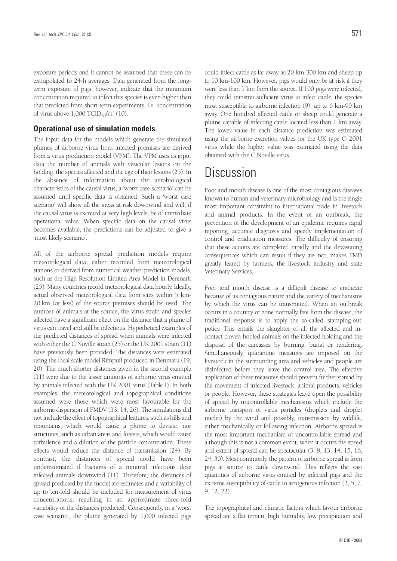exposure periods and it cannot be assumed that these can be extrapolated to 24-h averages. Data generated from the longterm exposure of pigs, however, indicate that the minimum concentration required to infect this species is even higher than that predicted from short-term experiments, i.e. concentration of virus above  $1,000$  TCID<sub>50</sub>/m<sup>3</sup> (10).

### **Operational use of simulation models**

The input data for the models which generate the simulated plumes of airborne virus from infected premises are derived from a virus production model (VPM). The VPM uses as input data the number of animals with vesicular lesions on the holding, the species affected and the age of their lesions (25). In the absence of information about the aerobiological characteristics of the causal virus, a 'worst case scenario' can be assumed until specific data is obtained. Such a 'worst case scenario' will show all the areas at risk downwind and will, if the causal virus is excreted at very high levels, be of immediate operational value. When specific data on the causal virus becomes available, the predictions can be adjusted to give a 'most likely scenario'.

All of the airborne spread prediction models require meteorological data, either recorded from meteorological stations or derived from numerical weather prediction models, such as the High Resolution Limited Area Model in Denmark (25). Many countries record meteorological data hourly. Ideally, actual observed meteorological data from sites within 5 km-20 km (or less) of the source premises should be used. The number of animals at the source, the virus strain and species affected have a significant effect on the distance that a plume of virus can travel and still be infectious. Hypothetical examples of the predicted distances of spread when animals were infected with either the C Noville strain (25) or the UK 2001 strain (11) have previously been provided. The distances were estimated using the local scale model Rimpuff produced in Denmark (19, 20). The much shorter distances given in the second example (11) were due to the lesser amounts of airborne virus emitted by animals infected with the UK 2001 virus (Table I). In both examples, the meteorological and topographical conditions assumed were those which were most favourable for the airborne dispersion of FMDV (13, 14, 26). The simulations did not include the effect of topographical features, such as hills and mountains, which would cause a plume to deviate, nor structures, such as urban areas and forests, which would cause turbulence and a dilution of the particle concentration. These effects would reduce the distance of transmission (24). By contrast, the distances of spread could have been underestimated if fractions of a minimal infectious dose infected animals downwind (11). Therefore, the distances of spread predicted by the model are estimates and a variability of up to ten-fold should be included for measurement of virus concentrations, resulting in an approximate three-fold variability of the distances predicted. Consequently, in a 'worst case scenario', the plume generated by 1,000 infected pigs

could infect cattle as far away as 20 km-300 km and sheep up to 10 km-100 km. However, pigs would only be at risk if they were less than 1 km from the source. If 100 pigs were infected, they could transmit sufficient virus to infect cattle, the species most susceptible to airborne infection (9), up to 6 km-90 km away. One hundred affected cattle or sheep could generate a plume capable of infecting cattle located less than 1 km away. The lower value in each distance prediction was estimated using the airborne excretion values for the UK type O 2001 virus while the higher value was estimated using the data obtained with the C Noville virus.

### Discussion

Foot and mouth disease is one of the most contagious diseases known to human and veterinary microbiology and is the single most important constraint to international trade in livestock and animal products. In the event of an outbreak, the prevention of the development of an epidemic requires rapid reporting, accurate diagnosis and speedy implementation of control and eradication measures. The difficulty of ensuring that these actions are completed rapidly and the devastating consequences which can result if they are not, makes FMD greatly feared by farmers, the livestock industry and state Veterinary Services.

Foot and mouth disease is a difficult disease to eradicate because of its contagious nature and the variety of mechanisms by which the virus can be transmitted. When an outbreak occurs in a country or zone normally free from the disease, the traditional response is to apply the so-called 'stamping-out' policy. This entails the slaughter of all the affected and incontact cloven-hoofed animals on the infected holding and the disposal of the carcasses by burning, burial or rendering. Simultaneously, quarantine measures are imposed on the livestock in the surrounding area and vehicles and people are disinfected before they leave the control area. The effective application of these measures should prevent further spread by the movement of infected livestock, animal products, vehicles or people. However, these strategies leave open the possibility of spread by uncontrollable mechanisms which include the airborne transport of virus particles (droplets and droplet nuclei) by the wind and possibly, transmission by wildlife, either mechanically or following infection. Airborne spread is the most important mechanism of uncontrollable spread and although this is not a common event, when it occurs the speed and extent of spread can be spectacular (3, 8, 13, 14, 15, 16, 24, 30). Most commonly, the pattern of airborne spread is from pigs at source to cattle downwind. This reflects the vast quantities of airborne virus emitted by infected pigs and the extreme susceptibility of cattle to aerogenous infection (2, 5, 7, 9, 12, 23).

The topographical and climatic factors which favour airborne spread are a flat terrain, high humidity, low precipitation and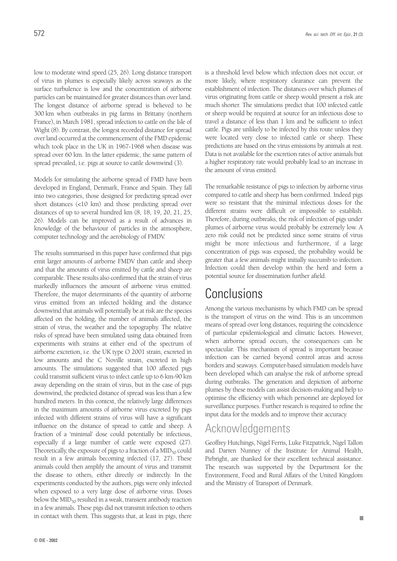low to moderate wind speed (25, 26). Long distance transport of virus in plumes is especially likely across seaways as the surface turbulence is low and the concentration of airborne particles can be maintained for greater distances than over land. The longest distance of airborne spread is believed to be 300 km when outbreaks in pig farms in Brittany (northern France), in March 1981, spread infection to cattle on the Isle of Wight (8). By contrast, the longest recorded distance for spread over land occurred at the commencement of the FMD epidemic which took place in the UK in 1967-1968 when disease was spread over 60 km. In the latter epidemic, the same pattern of spread prevailed, i.e. pigs at source to cattle downwind (3).

Models for simulating the airborne spread of FMD have been developed in England, Denmark, France and Spain. They fall into two categories, those designed for predicting spread over short distances (<10 km) and those predicting spread over distances of up to several hundred km (8, 18, 19, 20, 21, 25, 26). Models can be improved as a result of advances in knowledge of the behaviour of particles in the atmosphere, computer technology and the aerobiology of FMDV.

The results summarised in this paper have confirmed that pigs emit larger amounts of airborne FMDV than cattle and sheep and that the amounts of virus emitted by cattle and sheep are comparable. These results also confirmed that the strain of virus markedly influences the amount of airborne virus emitted. Therefore, the major determinants of the quantity of airborne virus emitted from an infected holding and the distance downwind that animals will potentially be at risk are the species affected on the holding, the number of animals affected, the strain of virus, the weather and the topography. The relative risks of spread have been simulated using data obtained from experiments with strains at either end of the spectrum of airborne excretion, i.e. the UK type O 2001 strain, excreted in low amounts and the C Noville strain, excreted in high amounts. The simulations suggested that 100 affected pigs could transmit sufficient virus to infect cattle up to 6 km-90 km away depending on the strain of virus, but in the case of pigs downwind, the predicted distance of spread was less than a few hundred meters. In this context, the relatively large differences in the maximum amounts of airborne virus excreted by pigs infected with different strains of virus will have a significant influence on the distance of spread to cattle and sheep. A fraction of a 'minimal' dose could potentially be infectious, especially if a large number of cattle were exposed (27). Theoretically, the exposure of pigs to a fraction of a  $MID_{50}$  could result in a few animals becoming infected (17, 27). These animals could then amplify the amount of virus and transmit the disease to others, either directly or indirectly. In the experiments conducted by the authors, pigs were only infected when exposed to a very large dose of airborne virus. Doses below the  $MID_{50}$  resulted in a weak, transient antibody reaction in a few animals. These pigs did not transmit infection to others in contact with them. This suggests that, at least in pigs, there

is a threshold level below which infection does not occur, or more likely, where respiratory clearance can prevent the establishment of infection. The distances over which plumes of virus originating from cattle or sheep would present a risk are much shorter. The simulations predict that 100 infected cattle or sheep would be required at source for an infectious dose to travel a distance of less than 1 km and be sufficient to infect cattle. Pigs are unlikely to be infected by this route unless they were located very close to infected cattle or sheep. These predictions are based on the virus emissions by animals at rest. Data is not available for the excretion rates of active animals but a higher respiratory rate would probably lead to an increase in the amount of virus emitted.

The remarkable resistance of pigs to infection by airborne virus compared to cattle and sheep has been confirmed. Indeed pigs were so resistant that the minimal infectious doses for the different strains were difficult or impossible to establish. Therefore, during outbreaks, the risk of infection of pigs under plumes of airborne virus would probably be extremely low. A zero risk could not be predicted since some strains of virus might be more infectious and furthermore, if a large concentration of pigs was exposed, the probability would be greater that a few animals might initially succumb to infection. Infection could then develop within the herd and form a potential source for dissemination further afield.

# **Conclusions**

Among the various mechanisms by which FMD can be spread is the transport of virus on the wind. This is an uncommon means of spread over long distances, requiring the coincidence of particular epidemiological and climatic factors. However, when airborne spread occurs, the consequences can be spectacular. This mechanism of spread is important because infection can be carried beyond control areas and across borders and seaways. Computer-based simulation models have been developed which can analyse the risk of airborne spread during outbreaks. The generation and depiction of airborne plumes by these models can assist decision-making and help to optimise the efficiency with which personnel are deployed for surveillance purposes. Further research is required to refine the input data for the models and to improve their accuracy.

### Acknowledgements

Geoffrey Hutchings, Nigel Ferris, Luke Fitzpatrick, Nigel Tallon and Darren Nunney of the Institute for Animal Health, Pirbright, are thanked for their excellent technical assistance. The research was supported by the Department for the Environment, Food and Rural Affairs of the United Kingdom and the Ministry of Transport of Denmark.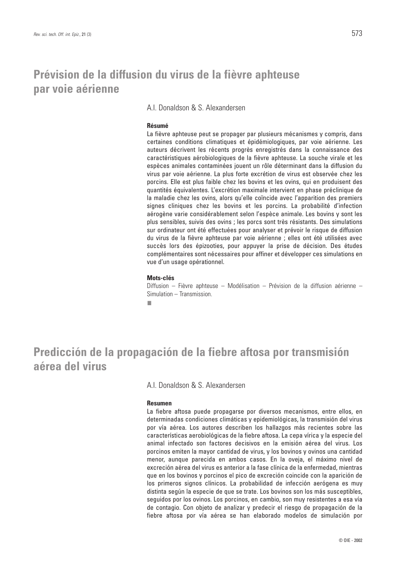### **Prévision de la diffusion du virus de la fièvre aphteuse par voie aérienne**

A.I. Donaldson & S. Alexandersen

#### **Résumé**

La fièvre aphteuse peut se propager par plusieurs mécanismes y compris, dans certaines conditions climatiques et épidémiologiques, par voie aérienne. Les auteurs décrivent les récents progrès enregistrés dans la connaissance des caractéristiques aérobiologiques de la fièvre aphteuse. La souche virale et les espèces animales contaminées jouent un rôle déterminant dans la diffusion du virus par voie aérienne. La plus forte excrétion de virus est observée chez les porcins. Elle est plus faible chez les bovins et les ovins, qui en produisent des quantités équivalentes. L'excrétion maximale intervient en phase préclinique de la maladie chez les ovins, alors qu'elle coïncide avec l'apparition des premiers signes cliniques chez les bovins et les porcins. La probabilité d'infection aérogène varie considérablement selon l'espèce animale. Les bovins y sont les plus sensibles, suivis des ovins ; les porcs sont très résistants. Des simulations sur ordinateur ont été effectuées pour analyser et prévoir le risque de diffusion du virus de la fièvre aphteuse par voie aérienne ; elles ont été utilisées avec succès lors des épizooties, pour appuyer la prise de décision. Des études complémentaires sont nécessaires pour affiner et développer ces simulations en vue d'un usage opérationnel.

#### **Mots-clés**

Diffusion – Fièvre aphteuse – Modélisation – Prévision de la diffusion aérienne – Simulation – Transmission.

■

### **Predicción de la propagación de la fiebre aftosa por transmisión aérea del virus**

A.I. Donaldson & S. Alexandersen

#### **Resumen**

La fiebre aftosa puede propagarse por diversos mecanismos, entre ellos, en determinadas condiciones climáticas y epidemiológicas, la transmisión del virus por vía aérea. Los autores describen los hallazgos más recientes sobre las características aerobiológicas de la fiebre aftosa. La cepa vírica y la especie del animal infectado son factores decisivos en la emisión aérea del virus. Los porcinos emiten la mayor cantidad de virus, y los bovinos y ovinos una cantidad menor, aunque parecida en ambos casos. En la oveja, el máximo nivel de excreción aérea del virus es anterior a la fase clínica de la enfermedad, mientras que en los bovinos y porcinos el pico de excreción coincide con la aparición de los primeros signos clínicos. La probabilidad de infección aerógena es muy distinta según la especie de que se trate. Los bovinos son los más susceptibles, seguidos por los ovinos. Los porcinos, en cambio, son muy resistentes a esa vía de contagio. Con objeto de analizar y predecir el riesgo de propagación de la fiebre aftosa por vía aérea se han elaborado modelos de simulación por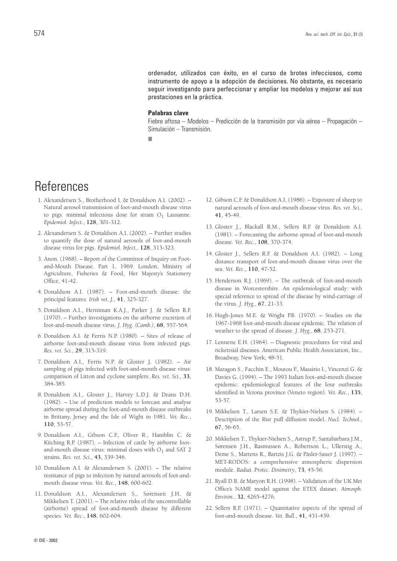ordenador, utilizados con éxito, en el curso de brotes infecciosos, como instrumento de apoyo a la adopción de decisiones. No obstante, es necesario seguir investigando para perfeccionar y ampliar los modelos y mejorar así sus prestaciones en la práctica.

#### **Palabras clave**

Fiebre aftosa – Modelos – Predicción de la transmisión por vía aérea – Propagación – Simulación – Transmisión.

■

# References

- 1. Alexandersen S., Brotherhood I. & Donaldson A.I. (2002). Natural aerosol transmission of foot-and-mouth disease virus to pigs: minimal infectious dose for strain  $O<sub>1</sub>$  Lausanne. *Epidemiol. Infect.*, **128**, 301-312.
- 2. Alexandersen S. & Donaldson A.I. (2002). Further studies to quantify the dose of natural aerosols of foot-and-mouth disease virus for pigs. *Epidemiol. Infect.*, **128**, 313-323.
- 3. Anon. (1968). Report of the Committee of Inquiry on Footand-Mouth Disease. Part 1, 1969. London, Ministry of Agriculture, Fisheries & Food, Her Majesty's Stationery Office, 41-42.
- 4. Donaldson A.I. (1987). Foot-and-mouth disease: the principal features. *Irish vet. J.*, **41**, 325-327.
- 5. Donaldson A.I., Herniman K.A.J., Parker J. & Sellers R.F. (1970). – Further investigations on the airborne excretion of foot-and-mouth disease virus. *J. Hyg. (Camb.)*, **68**, 557-564.
- 6. Donaldson A.I. & Ferris N.P. (1980). Sites of release of airborne foot-and-mouth disease virus from infected pigs. *Res. vet. Sci.*, **29**, 315-319.
- 7. Donaldson A.I., Ferris N.P. & Gloster J. (1982). Air sampling of pigs infected with foot-and-mouth disease virus: comparison of Litton and cyclone samplers. *Res. vet. Sci.*, **33**, 384-385.
- 8. Donaldson A.I., Gloster J., Harvey L.D.J. & Deans D.H. (1982). – Use of prediction models to forecast and analyse airborne spread during the foot-and-mouth disease outbreaks in Brittany, Jersey and the Isle of Wight in 1981. *Vet. Rec.*, **110**, 53-57.
- 9. Donaldson A.I., Gibson C.F., Oliver R., Hamblin C. & Kitching R.P. (1987). – Infection of cattle by airborne footand-mouth disease virus: minimal doses with  $O<sub>1</sub>$  and SAT 2 strains. *Res. vet. Sci.*, **43**, 339-346.
- 10. Donaldson A.I. & Alexandersen S. (2001). The relative resistance of pigs to infection by natural aerosols of foot-andmouth disease virus. *Vet. Rec.*, **148**, 600-602.
- 11. Donaldson A.I., Alexandersen S., Sørensen J.H. & Mikkelsen T. (2001). – The relative risks of the uncontrollable (airborne) spread of foot-and-mouth disease by different species. *Vet. Rec.*, **148**, 602-604.
- 12. Gibson C.F. & Donaldson A.I. (1986). Exposure of sheep to natural aerosols of foot-and-mouth disease virus. *Res. vet. Sci.*, **41**, 45-49.
- 13. Gloster J., Blackall R.M., Sellers R.F. & Donaldson A.I. (1981). – Forecasting the airborne spread of foot-and-mouth disease. *Vet. Rec.*, **108**, 370-374.
- 14. Gloster J., Sellers R.F. & Donaldson A.I. (1982). Long distance transport of foot-and-mouth disease virus over the sea. *Vet. Rec.*, **110**, 47-52.
- 15. Henderson R.J. (1969). The outbreak of foot-and-mouth disease in Worcestershire. An epidemiological study: with special reference to spread of the disease by wind-carriage of the virus. *J. Hyg.*, **67**, 21-33.
- 16. Hugh-Jones M.E. & Wright P.B. (1970). Studies on the 1967-1968 foot-and-mouth disease epidemic. The relation of weather to the spread of disease. *J. Hyg.*, **68**, 253-271.
- 17. Lennette E.H. (1964). Diagnostic procedures for viral and rickettsial diseases. American Public Health Association, Inc., Broadway, New York, 48-51.
- 18. Maragon S., Facchin E., Moutou F., Massirio I., Vincenzi G. & Davies G. (1994). – The 1993 Italian foot-and-mouth disease epidemic: epidemiological features of the four outbreaks identified in Verona province (Veneto region). *Vet. Rec.*, **135**, 53-57.
- 19. Mikkelsen T., Larsen S.E. & Thykier-Nielsen S. (1984). Description of the Risr puff diffusion model. *Nucl. Technol.*, **67**, 56-65.
- 20. Mikkelsen T., Thykier-Nielsen S., Astrup P., Santabárbara J.M., Sørensen J.H., Rasmussen A., Robertson L., Ullerstig A., Deme S., Martens R., Bartzis J.G. & Päsler-Sauer J. (1997). – MET-RODOS: a comprehensive atmospheric dispersion module. *Radiat. Protec. Dosimetry*, **73**, 45-56.
- 21. Ryall D.B. & Maryon R.H. (1998). Validation of the UK Met Office's NAME model against the ETEX dataset. *Atmosph. Environ.*, **32**, 4265-4276.
- 22. Sellers R.F. (1971). Quantitative aspects of the spread of foot-and-mouth disease. *Vet. Bull.*, **41**, 431-439.